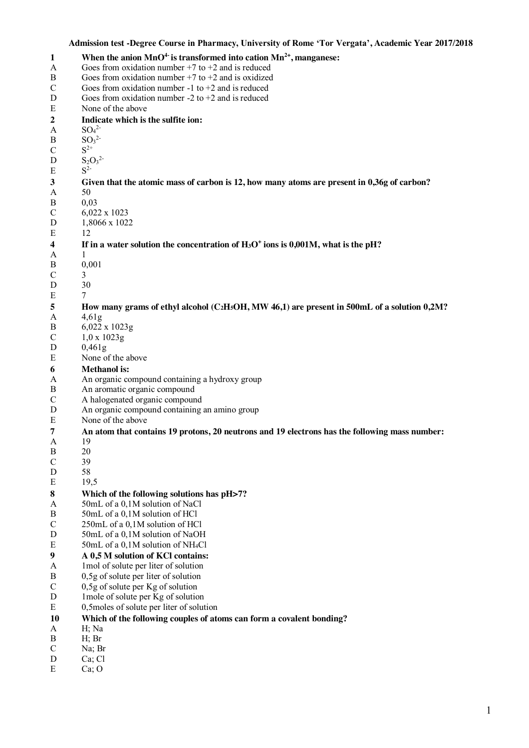#### **Admission test -Degree Course in Pharmacy, University of Rome 'Tor Vergata', Academic Year 2017/2018**

```
1 When the anion MnO4-
is transformed into cation Mn2+, manganese:
A Goes from oxidation number +7 to +2 and is reduced
B Goes from oxidation number +7 to +2 and is oxidized
C Goes from oxidation number -1 to +2 and is reduced
D Goes from oxidation number -2 to +2 and is reduced
E None of the above
2 Indicate which is the sulfite ion:
A SO_4^2B SO_3^2C S^{2+}D S_2O_3^2E S^23 Given that the atomic mass of carbon is 12, how many atoms are present in 0,36g of carbon?<br>A 50
       50B 0,03
C = 6.022 \times 1023D 1,8066 x 1022
E 12 
4 If in a water solution the concentration of H3O+ ions is 0,001M, what is the pH?
A 1
B 0,001 
C \qquad 3D 30 
E 7
5 How many grams of ethyl alcohol (C<sub>2</sub>H<sub>5</sub>OH, MW 46,1) are present in 500mL of a solution 0,2M?<br>
\frac{4.61g}{\pi}A 4,61g 
B 6,022 \times 1023g<br>C 1.0 \times 1023g1,0 \times 1023gD 0,461g 
E None of the above
6 Methanol is:
A An organic compound containing a hydroxy group 
B An aromatic organic compound
C A halogenated organic compound
D An organic compound containing an amino group
E None of the above
7 An atom that contains 19 protons, 20 neutrons and 19 electrons has the following mass number:
       A 19 
B 20 
C 39 
D 58 
E 19,5
8 Which of the following solutions has pH>7?
A 50mL of a 0,1M solution of NaCl
B 50mL of a 0,1M solution of HCl
C 250mL of a 0,1M solution of HCl
D 50mL of a 0,1M solution of NaOH
E 50mL of a 0,1M solution of NH<sub>4</sub>Cl
9 A 0,5 M solution of KCl contains:
A 1mol of solute per liter of solution 
B 0,5g of solute per liter of solution
C 0,5g of solute per Kg of solution
D 1mole of solute per Kg of solution
E 0,5moles of solute per liter of solution 
10 Which of the following couples of atoms can form a covalent bonding? 
A H; Na 
B H; Br
C Na<sup>\cdot</sup> Br
D Ca: Cl
E Ca; O
```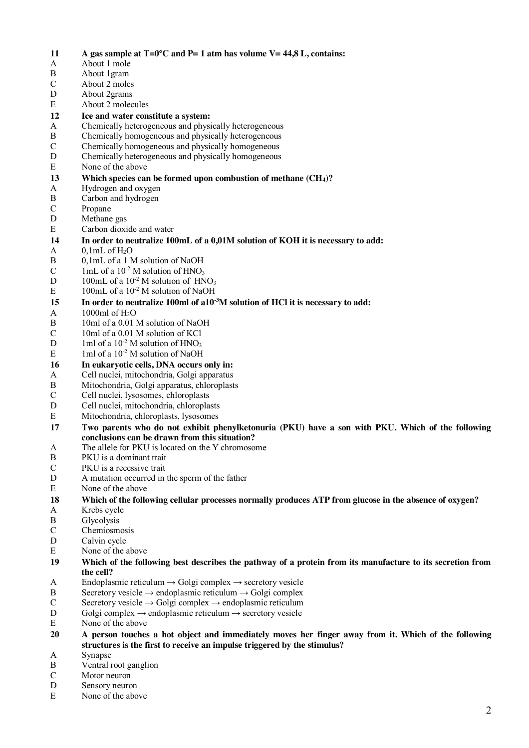**11 A** gas sample at T=0°C and P= 1 atm has volume V= 44,8 L, contains:<br>A About 1 mole A About 1 mole B About 1gram C About 2 moles D About 2grams E About 2 molecules **12 Ice and water constitute a system:**<br>A Chemically heterogeneous and phys Chemically heterogeneous and physically heterogeneous B Chemically homogeneous and physically heterogeneous C Chemically homogeneous and physically homogeneous D Chemically heterogeneous and physically homogeneous E None of the above **13 Which species can be formed upon combustion of methane (CH4)?** A Hydrogen and oxygen B Carbon and hydrogen C Propane D Methane gas E Carbon dioxide and water **14 In order to neutralize 100mL of a 0,01M solution of KOH it is necessary to add:**  $A = 0.1$ mL of H<sub>2</sub>O B 0,1mL of a 1 M solution of NaOH C 1mL of a  $10^{-2}$  M solution of HNO<sub>3</sub> D 100mL of a  $10^{-2}$  M solution of  $HNO<sub>3</sub>$ E 100mL of a 10<sup>-2</sup> M solution of NaOH **15 In order to neutralize 100ml of a10-3 M solution of HCl it is necessary to add:**   $A = 1000$ ml of H<sub>2</sub>O B 10ml of a 0.01 M solution of NaOH C 10ml of a 0.01 M solution of KCl D 1ml of a  $10^{-2}$  M solution of HNO<sub>3</sub> E 1ml of a  $10^{-2}$  M solution of NaOH **16 In eukaryotic cells, DNA occurs only in:**  A Cell nuclei, mitochondria, Golgi apparatus<br>B Mitochondria, Golgi apparatus, chloroplast B Mitochondria, Golgi apparatus, chloroplasts<br>C Cell nuclei. Ivsosomes. chloroplasts Cell nuclei, lysosomes, chloroplasts D Cell nuclei, mitochondria, chloroplasts E Mitochondria, chloroplasts, lysosomes **17 Two parents who do not exhibit phenylketonuria (PKU) have a son with PKU. Which of the following conclusions can be drawn from this situation?**  A The allele for PKU is located on the Y chromosome B PKU is a dominant trait C PKU is a recessive trait D A mutation occurred in the sperm of the father E None of the above **18 Which of the following cellular processes normally produces ATP from glucose in the absence of oxygen?**  A Krebs cycle B Glycolysis C Chemiosmosis D Calvin cycle E None of the above **19 Which of the following best describes the pathway of a protein from its manufacture to its secretion from the cell?**  A Endoplasmic reticulum  $\rightarrow$  Golgi complex  $\rightarrow$  secretory vesicle B Secretory vesicle  $\rightarrow$  endoplasmic reticulum  $\rightarrow$  Golgi complex C Secretory vesicle  $\rightarrow$  Golgi complex  $\rightarrow$  endoplasmic reticulum D Golgi complex  $\rightarrow$  endoplasmic reticulum  $\rightarrow$  secretory vesicle E None of the above **20 A person touches a hot object and immediately moves her finger away from it. Which of the following structures is the first to receive an impulse triggered by the stimulus?**  A Synapse B Ventral root ganglion C Motor neuron D Sensory neuron E None of the above

2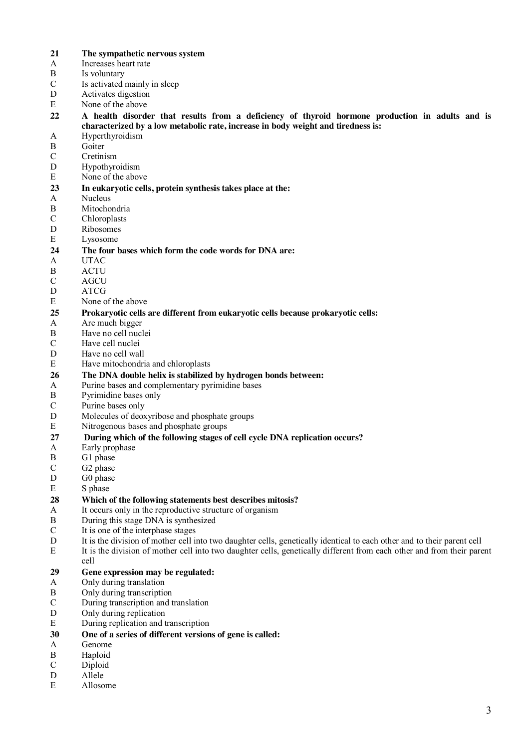- **21 The sympathetic nervous system**
- A Increases heart rate<br>B Is voluntary
- Is voluntary
- C Is activated mainly in sleep
- D Activates digestion
- E None of the above
- **22 A health disorder that results from a deficiency of thyroid hormone production in adults and is characterized by a low metabolic rate, increase in body weight and tiredness is:**
- A Hyperthyroidism
- B Goiter
- C Cretinism
- D Hypothyroidism
- E None of the above

# **23 In eukaryotic cells, protein synthesis takes place at the:**

- **Nucleus**
- B Mitochondria
- C Chloroplasts
- D Ribosomes
- E Lysosome

### **24 The four bases which form the code words for DNA are:**

- A UTAC
- B ACTU
- C AGCU
- D ATCG
- E None of the above

# **25 Prokaryotic cells are different from eukaryotic cells because prokaryotic cells:**

- Are much bigger
- B Have no cell nuclei
- C Have cell nuclei
- D Have no cell wall
- E Have mitochondria and chloroplasts

# **26 The DNA double helix is stabilized by hydrogen bonds between:** A Purine bases and complementary pyrimidine bases

- Purine bases and complementary pyrimidine bases
- B Pyrimidine bases only
- C Purine bases only
- D Molecules of deoxyribose and phosphate groups
- E Nitrogenous bases and phosphate groups

### **27 During which of the following stages of cell cycle DNA replication occurs?**

- A Early prophase
- B G1 phase
- C G2 phase
- D G0 phase
- E S phase

## **28 Which of the following statements best describes mitosis?**

- A It occurs only in the reproductive structure of organism
- B During this stage DNA is synthesized
- C It is one of the interphase stages
- D It is the division of mother cell into two daughter cells, genetically identical to each other and to their parent cell
- E It is the division of mother cell into two daughter cells, genetically different from each other and from their parent cell

# **29 Gene expression may be regulated:**

- Only during translation
- B Only during transcription
- C During transcription and translation
- D Only during replication
- E During replication and transcription
- **30 One of a series of different versions of gene is called:**
- A Genome
- B Haploid
- C Diploid
- D Allele
- E Allosome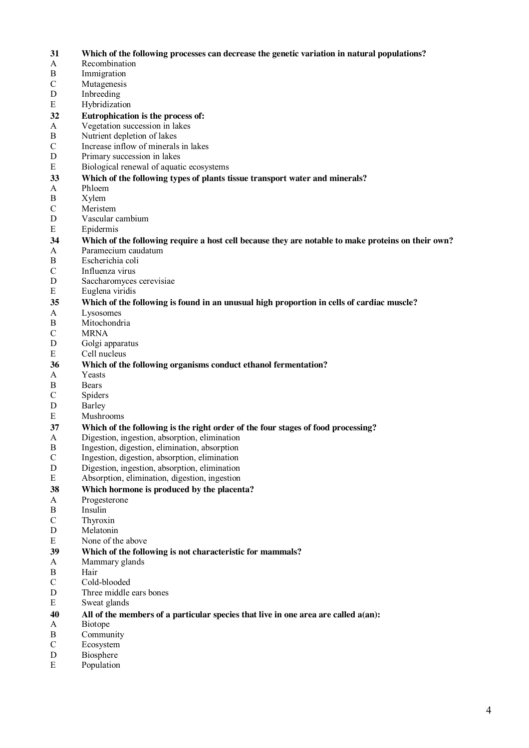- **31 Which of the following processes can decrease the genetic variation in natural populations?**
- A Recombination<br>B Immigration
- Immigration
- C Mutagenesis
- D Inbreeding
- E Hybridization
- **32 Eutrophication is the process of:**
- Vegetation succession in lakes
- B Nutrient depletion of lakes
- C Increase inflow of minerals in lakes
- D Primary succession in lakes
- E Biological renewal of aquatic ecosystems

#### **33 Which of the following types of plants tissue transport water and minerals?**

- A Phloem
- B Xylem
- C Meristem
- D Vascular cambium
- E Epidermis
- **34** Which of the following require a host cell because they are notable to make proteins on their own?<br>A Paramecium caudatum Paramecium caudatum
- B Escherichia coli
- C Influenza virus
- 
- D Saccharomyces cerevisiae
- E Euglena viridis

## **35** Which of the following is found in an unusual high proportion in cells of cardiac muscle?<br>
A Lysosomes

- Lysosomes
- B Mitochondria
- C MRNA
- D Golgi apparatus
- E Cell nucleus

# **36 Which of the following organisms conduct ethanol fermentation?**

- A Yeasts<br>B Bears
- **Bears**
- C Spiders
- D Barley
- E Mushrooms

## **37 Which of the following is the right order of the four stages of food processing?**

- Digestion, ingestion, absorption, elimination
- B Ingestion, digestion, elimination, absorption
- C Ingestion, digestion, absorption, elimination
- D Digestion, ingestion, absorption, elimination
- E Absorption, elimination, digestion, ingestion
- **38 Which hormone is produced by the placenta?**
- A Progesterone
- B Insulin
- C Thyroxin
- D Melatonin
- E None of the above
- **39 Which of the following is not characteristic for mammals?**
- Mammary glands
- B Hair
- C Cold-blooded
- D Three middle ears bones
- E Sweat glands

### **40 All of the members of a particular species that live in one area are called a(an):**

- A Biotope
- B Community
- C Ecosystem
- D Biosphere
- E Population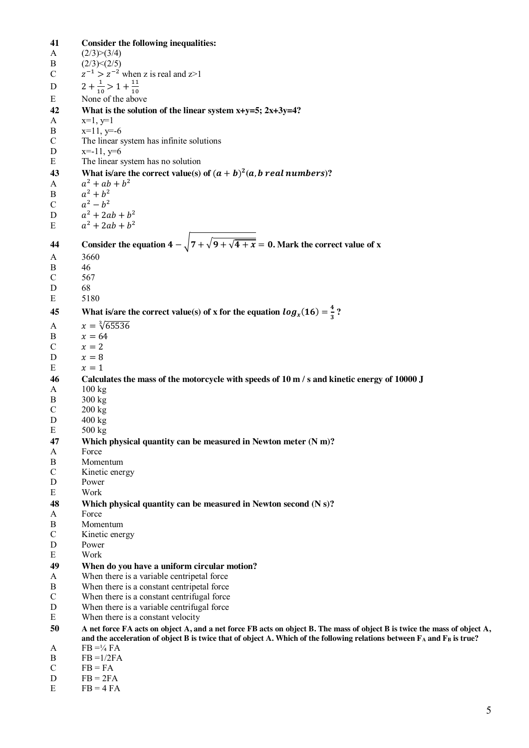**41 Consider the following inequalities:**  $(2/3)>(3/4)$ B  $(2/3) < (2/5)$ C  $z^{-1} > z^{-2}$  when z is real and  $z > 1$ D  $2 + \frac{1}{10} > 1 + \frac{11}{10}$ E None of the above **42 What is the solution of the linear system x+y=5; 2x+3y=4?** A x=1, y=1 B  $x=11, y=6$ C The linear system has infinite solutions D  $x=-11, y=6$ E The linear system has no solution **43 What is/are the correct value(s) of**  $(a + b)^2(a, b \text{ real numbers})$ **?** A  $a^2 + ab + b^2$ B  $a^2 + b^2$ C  $a^2 - b^2$ D  $a^2 + 2ab + b^2$ E  $a^2 + 2ab + b^2$ **44** Consider the equation  $4 - \sqrt{7 + \sqrt{9 + \sqrt{4 + x}}} = 0$ . Mark the correct value of x A 3660 B 46 C 567 D 68 E 5180 **45** What is/are the correct value(s) of **x** for the equation  $log_x(16) = \frac{4}{3}$ ? A  $x = \sqrt[3]{65536}$ B  $x = 64$  $C \qquad x = 2$ D  $x = 8$  $E \qquad x=1$ **46 Calculates the mass of the motorcycle with speeds of 10 m / s and kinetic energy of 10000 J** A 100 kg B 300 kg C 200 kg D  $400 \text{ kg}$  $E = 500 \text{ kg}$ **47 Which physical quantity can be measured in Newton meter (N m)?** A Force B Momentum C Kinetic energy D Power E Work **48 Which physical quantity can be measured in Newton second (N s)?** A Force B Momentum C Kinetic energy D Power E Work **49 When do you have a uniform circular motion?** A When there is a variable centripetal force B When there is a constant centripetal force C When there is a constant centrifugal force D When there is a variable centrifugal force E When there is a constant velocity **50 A net force FA acts on object A, and a net force FB acts on object B. The mass of object B is twice the mass of object A,**  and the acceleration of object B is twice that of object A. Which of the following relations between  $F_A$  and  $F_B$  is true? A  $FB = \frac{1}{4} FA$  $\text{B}$  FB =1/2FA  $C$  FB = FA  $D$  FB = 2FA

 $E$  FB = 4 FA